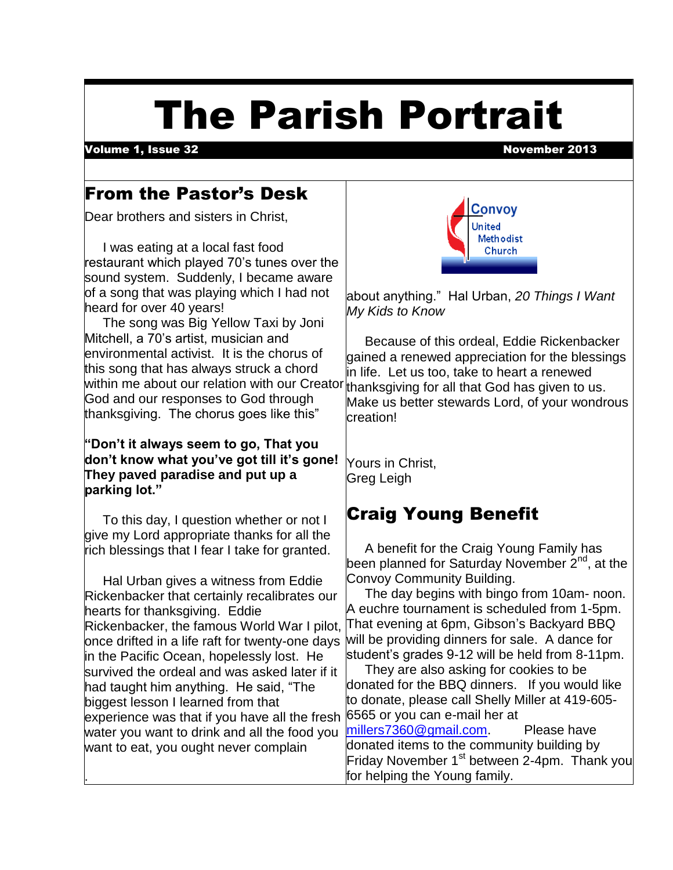# The Parish Portrait

Volume 1, Issue 32 November 2013

 $\overline{\phantom{a}}$ 

.

# From the Pastor's Desk

Dear brothers and sisters in Christ,

 I was eating at a local fast food restaurant which played 70's tunes over the sound system. Suddenly, I became aware of a song that was playing which I had not heard for over 40 years!

 The song was Big Yellow Taxi by Joni Mitchell, a 70's artist, musician and environmental activist. It is the chorus of this song that has always struck a chord within me about our relation with our Creator God and our responses to God through thanksgiving. The chorus goes like this"

#### **"Don't it always seem to go, That you don't know what you've got till it's gone! They paved paradise and put up a parking lot."**

 To this day, I question whether or not I give my Lord appropriate thanks for all the rich blessings that I fear I take for granted.

 Hal Urban gives a witness from Eddie Rickenbacker that certainly recalibrates our hearts for thanksgiving. Eddie Rickenbacker, the famous World War I pilot, once drifted in a life raft for twenty-one days in the Pacific Ocean, hopelessly lost. He survived the ordeal and was asked later if it had taught him anything. He said, "The biggest lesson I learned from that experience was that if you have all the fresh water you want to drink and all the food you want to eat, you ought never complain



about anything." Hal Urban, *20 Things I Want My Kids to Know*

 Because of this ordeal, Eddie Rickenbacker gained a renewed appreciation for the blessings in life. Let us too, take to heart a renewed thanksgiving for all that God has given to us. Make us better stewards Lord, of your wondrous creation!

Yours in Christ, Greg Leigh

# Craig Young Benefit

 A benefit for the Craig Young Family has been planned for Saturday November 2<sup>nd</sup>, at the Convoy Community Building.

 The day begins with bingo from 10am- noon. A euchre tournament is scheduled from 1-5pm. That evening at 6pm, Gibson's Backyard BBQ will be providing dinners for sale. A dance for student's grades 9-12 will be held from 8-11pm.

 They are also asking for cookies to be donated for the BBQ dinners. If you would like to donate, please call Shelly Miller at 419-605- 6565 or you can e-mail her at [millers7360@gmail.com.](mailto:millers7360@gmail.com) Please have donated items to the community building by Friday November  $1^{st}$  between 2-4pm. Thank you for helping the Young family.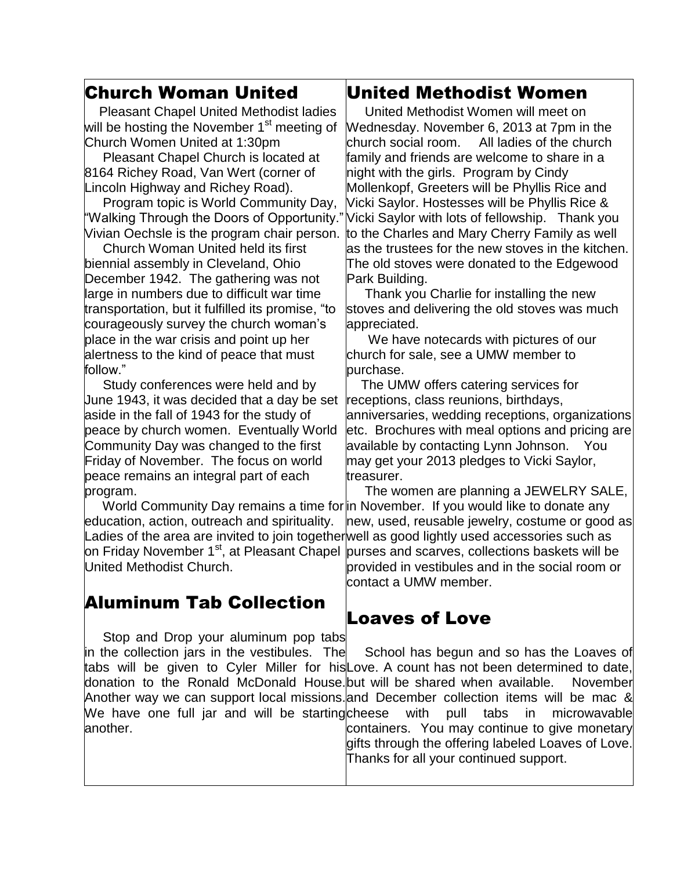#### Church Woman United

 Pleasant Chapel United Methodist ladies will be hosting the November 1<sup>st</sup> meeting of Church Women United at 1:30pm

 Pleasant Chapel Church is located at 8164 Richey Road, Van Wert (corner of Lincoln Highway and Richey Road).

 Program topic is World Community Day, "Walking Through the Doors of Opportunity." Vivian Oechsle is the program chair person.

 Church Woman United held its first biennial assembly in Cleveland, Ohio December 1942. The gathering was not large in numbers due to difficult war time transportation, but it fulfilled its promise, "to courageously survey the church woman's place in the war crisis and point up her alertness to the kind of peace that must follow."

 Study conferences were held and by June 1943, it was decided that a day be set aside in the fall of 1943 for the study of peace by church women. Eventually World Community Day was changed to the first Friday of November. The focus on world peace remains an integral part of each program.

education, action, outreach and spirituality. on Friday November 1st, at Pleasant Chapel United Methodist Church.

## Aluminum Tab Collection

 $\overline{\phantom{a}}$ 

another.

#### Stop and Drop your aluminum pop tabs in the collection jars in the vestibules. The tabs will be given to Cyler Miller for hisLove. A count has not been determined to date, donation to the Ronald McDonald House. but will be shared when available. November Loaves of Love School has begun and so has the Loaves of

Another way we can support local missions and December collection items will be mac & We have one full jar and will be starting cheese with pull tabs in microwavable containers. You may continue to give monetary gifts through the offering labeled Loaves of Love. Thanks for all your continued support.

#### United Methodist Women

 United Methodist Women will meet on Wednesday. November 6, 2013 at 7pm in the church social room. All ladies of the church family and friends are welcome to share in a night with the girls. Program by Cindy Mollenkopf, Greeters will be Phyllis Rice and Vicki Saylor. Hostesses will be Phyllis Rice & Vicki Saylor with lots of fellowship. Thank you to the Charles and Mary Cherry Family as well as the trustees for the new stoves in the kitchen. The old stoves were donated to the Edgewood Park Building.

 Thank you Charlie for installing the new stoves and delivering the old stoves was much appreciated.

 We have notecards with pictures of our church for sale, see a UMW member to purchase.

 The UMW offers catering services for receptions, class reunions, birthdays, anniversaries, wedding receptions, organizations etc. Brochures with meal options and pricing are available by contacting Lynn Johnson. You may get your 2013 pledges to Vicki Saylor, treasurer.

World Community Day remains a time for in November. If you would like to donate any Ladies of the area are invited to join together well as good lightly used accessories such as The women are planning a JEWELRY SALE, new, used, reusable jewelry, costume or good as purses and scarves, collections baskets will be provided in vestibules and in the social room or contact a UMW member.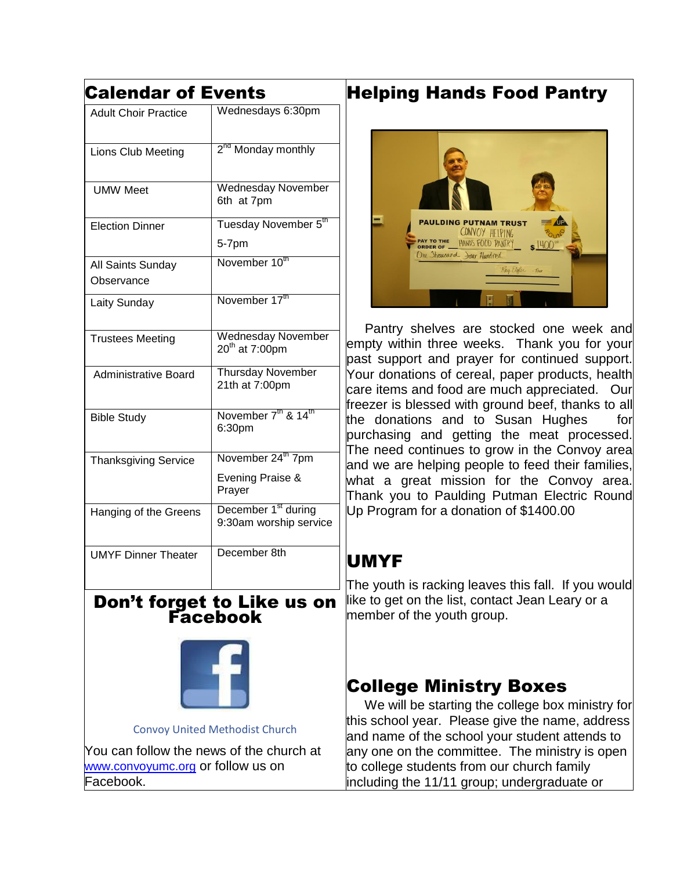### Calendar of Events

| <b>Adult Choir Practice</b>     | Wednesdays 6:30pm                                         |
|---------------------------------|-----------------------------------------------------------|
| Lions Club Meeting              | 2 <sup>nd</sup> Monday monthly                            |
| <b>UMW Meet</b>                 | <b>Wednesday November</b><br>6th at 7pm                   |
| <b>Election Dinner</b>          | Tuesday November 5th                                      |
|                                 | 5-7pm                                                     |
| All Saints Sunday<br>Observance | November 10 <sup>th</sup>                                 |
| Laity Sunday                    | November 17 <sup>th</sup>                                 |
| <b>Trustees Meeting</b>         | <b>Wednesday November</b><br>20 <sup>th</sup> at 7:00pm   |
| Administrative Board            | <b>Thursday November</b><br>21th at 7:00pm                |
| <b>Bible Study</b>              | November 7 <sup>th</sup> & 14 <sup>th</sup><br>6:30pm     |
| <b>Thanksgiving Service</b>     | November 24 <sup>th</sup> 7pm                             |
|                                 | Evening Praise &<br>Prayer                                |
| Hanging of the Greens           | December 1 <sup>st</sup> during<br>9:30am worship service |
| <b>UMYF Dinner Theater</b>      | December 8th                                              |

#### Don't forget to Like us on Facebook



[Convoy United Methodist Church](https://www.facebook.com/ConvoyUnitedMethodistChurch)

You can follow the news of the church at [www.convoyumc.org](http://www.convoyumc.org/) or follow us on Facebook.

### Helping Hands Food Pantry



Pantry shelves are stocked one week and empty within three weeks. Thank you for your past support and prayer for continued support. Your donations of cereal, paper products, health care items and food are much appreciated. Our freezer is blessed with ground beef, thanks to all the donations and to Susan Hughes for purchasing and getting the meat processed. The need continues to grow in the Convoy area and we are helping people to feed their families, what a great mission for the Convoy area. Thank you to Paulding Putman Electric Round Up Program for a donation of \$1400.00

## UMYF

The youth is racking leaves this fall. If you would like to get on the list, contact Jean Leary or a member of the youth group.

## College Ministry Boxes

 We will be starting the college box ministry for this school year. Please give the name, address and name of the school your student attends to any one on the committee. The ministry is open to college students from our church family including the 11/11 group; undergraduate or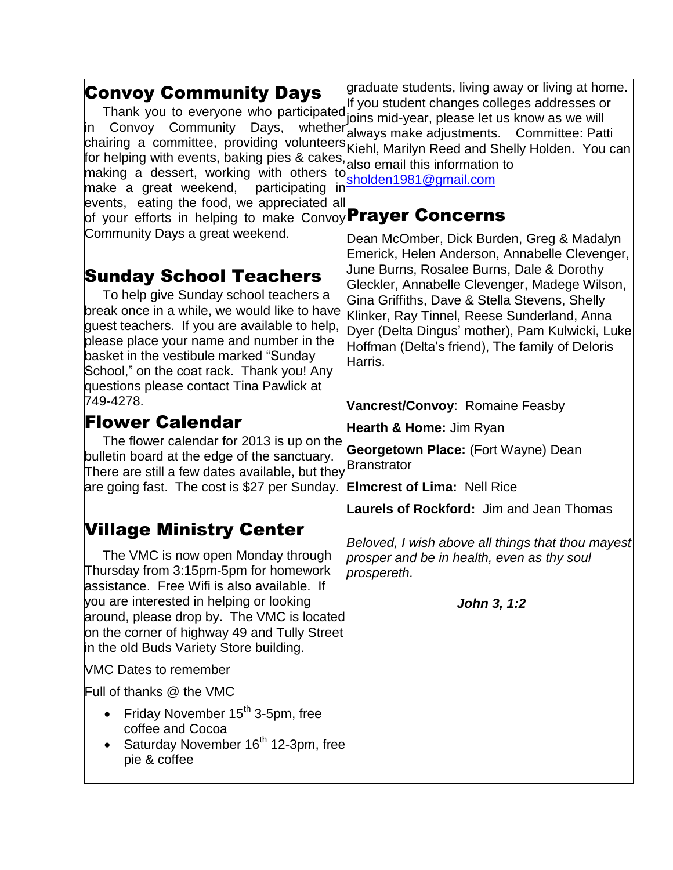| <b>Convoy Community Days</b><br>Thank you to everyone who participated<br>Convoy Community<br>Days,<br>in<br>for helping with events, baking pies & cakes, also email this information to<br>making a dessert, working with others to<br>make a great weekend,<br>participating<br>ın<br>events, eating the food, we appreciated all            | graduate students, living away or living at home.<br>If you student changes colleges addresses or<br>joins mid-year, please let us know as we will<br>whether always make adjustments. Committee: Patti<br>chairing a committee, providing volunteers Kiehl, Marilyn Reed and Shelly Holden. You can<br>sholden1981@gmail.com |
|-------------------------------------------------------------------------------------------------------------------------------------------------------------------------------------------------------------------------------------------------------------------------------------------------------------------------------------------------|-------------------------------------------------------------------------------------------------------------------------------------------------------------------------------------------------------------------------------------------------------------------------------------------------------------------------------|
| of your efforts in helping to make Convoy <b>Prayer Concerns</b>                                                                                                                                                                                                                                                                                |                                                                                                                                                                                                                                                                                                                               |
| Community Days a great weekend.                                                                                                                                                                                                                                                                                                                 | Dean McOmber, Dick Burden, Greg & Madalyn<br>Emerick, Helen Anderson, Annabelle Clevenger,                                                                                                                                                                                                                                    |
| Sunday School Teachers<br>To help give Sunday school teachers a<br>break once in a while, we would like to have<br>guest teachers. If you are available to help,<br>please place your name and number in the<br>basket in the vestibule marked "Sunday<br>School," on the coat rack. Thank you! Any<br>questions please contact Tina Pawlick at | June Burns, Rosalee Burns, Dale & Dorothy<br>Gleckler, Annabelle Clevenger, Madege Wilson,<br>Gina Griffiths, Dave & Stella Stevens, Shelly<br>Klinker, Ray Tinnel, Reese Sunderland, Anna<br>Dyer (Delta Dingus' mother), Pam Kulwicki, Luke<br>Hoffman (Delta's friend), The family of Deloris<br>Harris.                   |
| 749-4278.                                                                                                                                                                                                                                                                                                                                       | Vancrest/Convoy: Romaine Feasby                                                                                                                                                                                                                                                                                               |
| <b>Flower Calendar</b>                                                                                                                                                                                                                                                                                                                          | Hearth & Home: Jim Ryan                                                                                                                                                                                                                                                                                                       |
| The flower calendar for 2013 is up on the<br>bulletin board at the edge of the sanctuary.<br>There are still a few dates available, but they                                                                                                                                                                                                    | Georgetown Place: (Fort Wayne) Dean<br>Branstrator                                                                                                                                                                                                                                                                            |
| are going fast. The cost is \$27 per Sunday.                                                                                                                                                                                                                                                                                                    | <b>Elmcrest of Lima: Nell Rice</b>                                                                                                                                                                                                                                                                                            |
|                                                                                                                                                                                                                                                                                                                                                 | <b>Laurels of Rockford:</b> Jim and Jean Thomas                                                                                                                                                                                                                                                                               |
| Village Ministry Center                                                                                                                                                                                                                                                                                                                         |                                                                                                                                                                                                                                                                                                                               |
| The VMC is now open Monday through<br>Thursday from 3:15pm-5pm for homework                                                                                                                                                                                                                                                                     | Beloved, I wish above all things that thou mayest<br>prosper and be in health, even as thy soul<br>prospereth.                                                                                                                                                                                                                |
| assistance. Free Wifi is also available. If<br>you are interested in helping or looking<br>around, please drop by. The VMC is located<br>on the corner of highway 49 and Tully Street<br>in the old Buds Variety Store building.                                                                                                                | John 3, 1:2                                                                                                                                                                                                                                                                                                                   |
| <b>VMC Dates to remember</b>                                                                                                                                                                                                                                                                                                                    |                                                                                                                                                                                                                                                                                                                               |
| Full of thanks @ the VMC                                                                                                                                                                                                                                                                                                                        |                                                                                                                                                                                                                                                                                                                               |
| Friday November 15 <sup>th</sup> 3-5pm, free<br>coffee and Cocoa<br>Saturday November 16 <sup>th</sup> 12-3pm, free<br>pie & coffee                                                                                                                                                                                                             |                                                                                                                                                                                                                                                                                                                               |
|                                                                                                                                                                                                                                                                                                                                                 |                                                                                                                                                                                                                                                                                                                               |